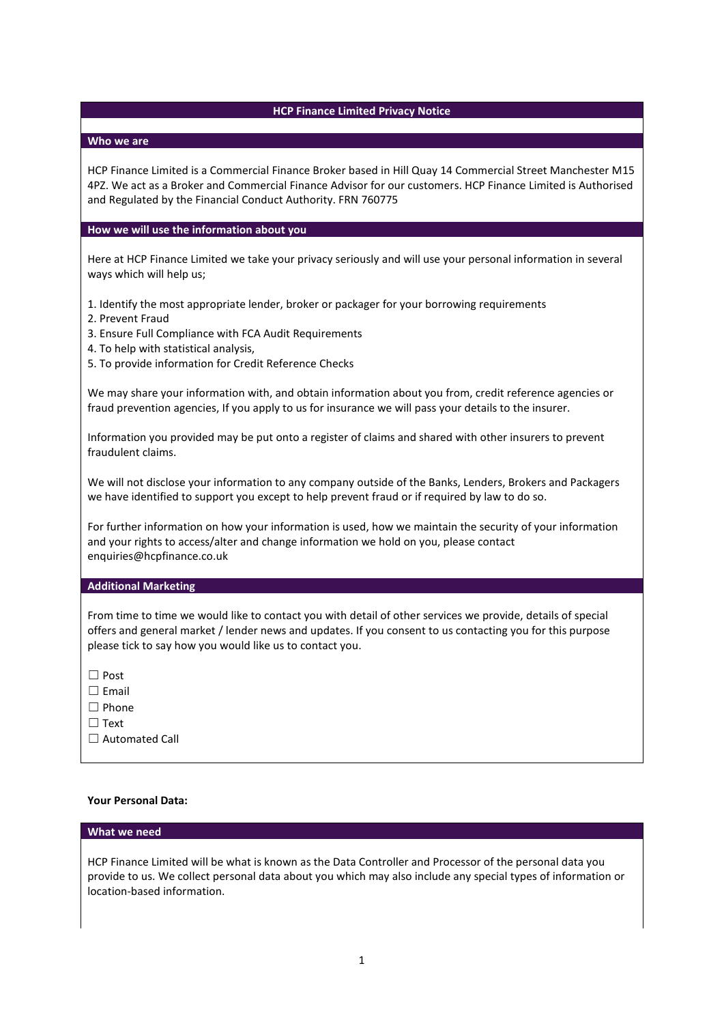# **HCP Finance Limited Privacy Notice**

## **Who we are**

HCP Finance Limited is a Commercial Finance Broker based in Hill Quay 14 Commercial Street Manchester M15 4PZ. We act as a Broker and Commercial Finance Advisor for our customers. HCP Finance Limited is Authorised and Regulated by the Financial Conduct Authority. FRN 760775

# **How we will use the information about you**

Here at HCP Finance Limited we take your privacy seriously and will use your personal information in several ways which will help us;

1. Identify the most appropriate lender, broker or packager for your borrowing requirements

- 2. Prevent Fraud
- 3. Ensure Full Compliance with FCA Audit Requirements
- 4. To help with statistical analysis,
- 5. To provide information for Credit Reference Checks

We may share your information with, and obtain information about you from, credit reference agencies or fraud prevention agencies, If you apply to us for insurance we will pass your details to the insurer.

Information you provided may be put onto a register of claims and shared with other insurers to prevent fraudulent claims.

We will not disclose your information to any company outside of the Banks, Lenders, Brokers and Packagers we have identified to support you except to help prevent fraud or if required by law to do so.

For further information on how your information is used, how we maintain the security of your information and your rights to access/alter and change information we hold on you, please contact enquiries@hcpfinance.co.uk

# **Additional Marketing**

From time to time we would like to contact you with detail of other services we provide, details of special offers and general market / lender news and updates. If you consent to us contacting you for this purpose please tick to say how you would like us to contact you.

| ×<br>۰,<br>۰, |
|---------------|
|---------------|

- ☐ Email
- ☐ Phone
- ☐ Text
- □ Automated Call

## **Your Personal Data:**

# **What we need**

HCP Finance Limited will be what is known as the Data Controller and Processor of the personal data you provide to us. We collect personal data about you which may also include any special types of information or location-based information.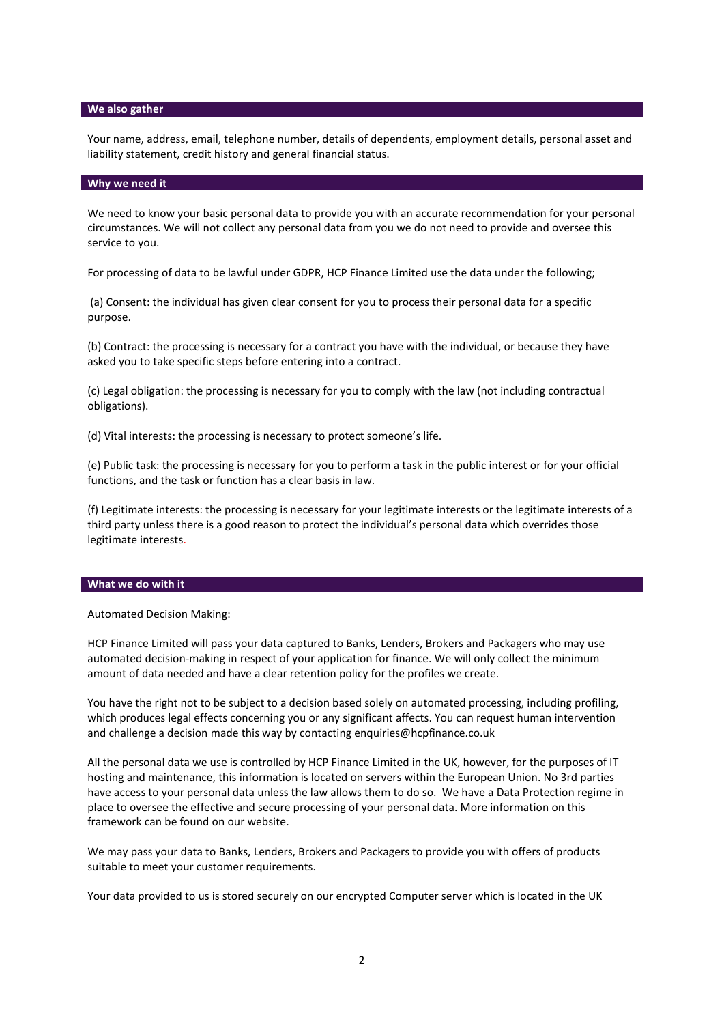## **We also gather**

Your name, address, email, telephone number, details of dependents, employment details, personal asset and liability statement, credit history and general financial status.

### **Why we need it**

We need to know your basic personal data to provide you with an accurate recommendation for your personal circumstances. We will not collect any personal data from you we do not need to provide and oversee this service to you.

For processing of data to be lawful under GDPR, HCP Finance Limited use the data under the following;

(a) Consent: the individual has given clear consent for you to process their personal data for a specific purpose.

(b) Contract: the processing is necessary for a contract you have with the individual, or because they have asked you to take specific steps before entering into a contract.

(c) Legal obligation: the processing is necessary for you to comply with the law (not including contractual obligations).

(d) Vital interests: the processing is necessary to protect someone's life.

(e) Public task: the processing is necessary for you to perform a task in the public interest or for your official functions, and the task or function has a clear basis in law.

(f) Legitimate interests: the processing is necessary for your legitimate interests or the legitimate interests of a third party unless there is a good reason to protect the individual's personal data which overrides those legitimate interests.

#### **What we do with it**

Automated Decision Making:

HCP Finance Limited will pass your data captured to Banks, Lenders, Brokers and Packagers who may use automated decision-making in respect of your application for finance. We will only collect the minimum amount of data needed and have a clear retention policy for the profiles we create.

You have the right not to be subject to a decision based solely on automated processing, including profiling, which produces legal effects concerning you or any significant affects. You can request human intervention and challenge a decision made this way by contacting enquiries@hcpfinance.co.uk

All the personal data we use is controlled by HCP Finance Limited in the UK, however, for the purposes of IT hosting and maintenance, this information is located on servers within the European Union. No 3rd parties have access to your personal data unless the law allows them to do so. We have a Data Protection regime in place to oversee the effective and secure processing of your personal data. More information on this framework can be found on our website.

We may pass your data to Banks, Lenders, Brokers and Packagers to provide you with offers of products suitable to meet your customer requirements.

Your data provided to us is stored securely on our encrypted Computer server which is located in the UK